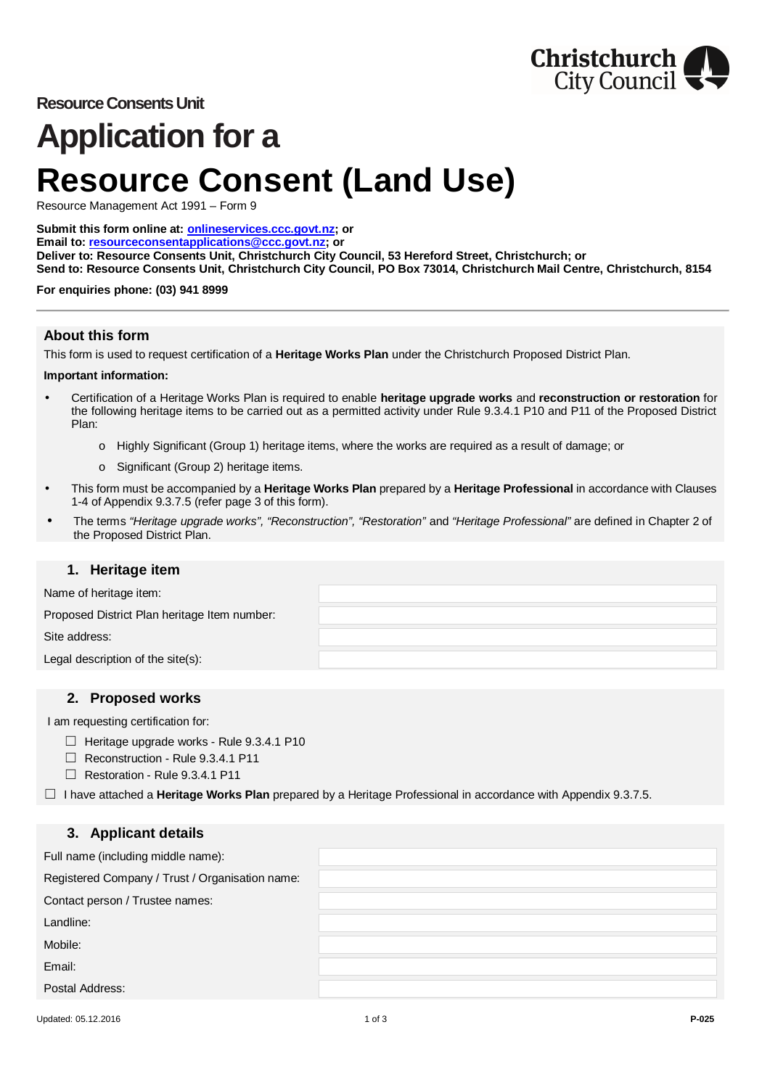

## **Resource Consents Unit**

# **Application for a Resource Consent (Land Use)**

Resource Management Act 1991 – Form 9

**Submit this form online at: [onlineservices.ccc.govt.nz;](http://onlineservices.ccc.govt.nz/) or Email to: [resourceconsentapplications@ccc.govt.nz;](mailto:resourceconsentapplications@ccc.govt.nz) or Deliver to: Resource Consents Unit, Christchurch City Council, 53 Hereford Street, Christchurch; or Send to: Resource Consents Unit, Christchurch City Council, PO Box 73014, Christchurch Mail Centre, Christchurch, 8154**

**For enquiries phone: (03) 941 8999**

#### **About this form**

This form is used to request certification of a **Heritage Works Plan** under the Christchurch Proposed District Plan.

#### **Important information:**

- Certification of a Heritage Works Plan is required to enable **heritage upgrade works** and **reconstruction or restoration** for the following heritage items to be carried out as a permitted activity under Rule 9.3.4.1 P10 and P11 of the Proposed District Plan:
	- o Highly Significant (Group 1) heritage items, where the works are required as a result of damage; or
	- o Significant (Group 2) heritage items.
- This form must be accompanied by a **Heritage Works Plan** prepared by a **Heritage Professional** in accordance with Clauses 1-4 of Appendix 9.3.7.5 (refer page 3 of this form).
- The terms *"Heritage upgrade works", "Reconstruction", "Restoration"* and *"Heritage Professional"* are defined in Chapter 2 of the Proposed District Plan.

#### **1. Heritage item**

Name of heritage item:

Proposed District Plan heritage Item number:

Site address:

Legal description of the site(s):

### **2. Proposed works**

I am requesting certification for:

- □ Heritage upgrade works Rule 9.3.4.1 P10
- ☐ Reconstruction Rule 9.3.4.1 P11
- ☐ Restoration Rule 9.3.4.1 P11

☐ I have attached a **Heritage Works Plan** prepared by a Heritage Professional in accordance with Appendix 9.3.7.5.

### **3. Applicant details**

| Full name (including middle name):              |  |
|-------------------------------------------------|--|
| Registered Company / Trust / Organisation name: |  |
| Contact person / Trustee names:                 |  |
| Landline:                                       |  |
| Mobile:                                         |  |
| Email:                                          |  |
| Postal Address:                                 |  |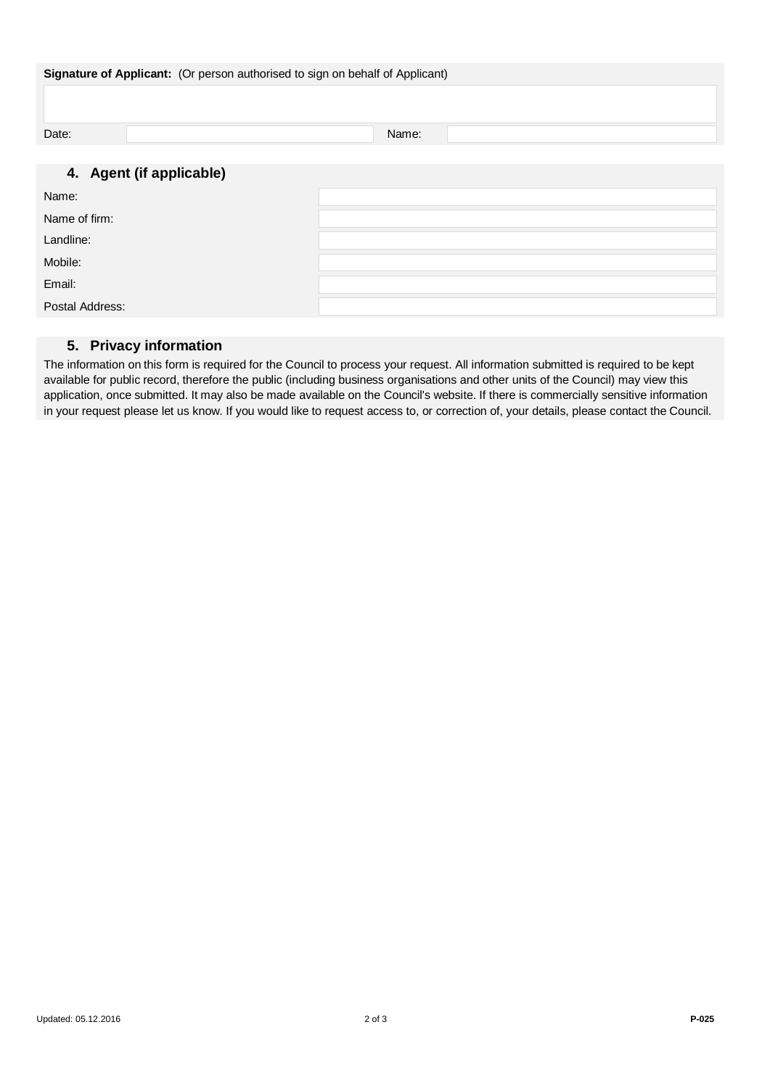| Signature of Applicant: (Or person authorised to sign on behalf of Applicant) |       |  |
|-------------------------------------------------------------------------------|-------|--|
|                                                                               |       |  |
| Date:                                                                         | Name: |  |
|                                                                               |       |  |
| 4. Agent (if applicable)                                                      |       |  |
| Name:                                                                         |       |  |
| Name of firm:                                                                 |       |  |
| Landline:                                                                     |       |  |
| Mobile:                                                                       |       |  |
| Email:                                                                        |       |  |

#### Postal Address:

#### **5. Privacy information**

The information on this form is required for the Council to process your request. All information submitted is required to be kept available for public record, therefore the public (including business organisations and other units of the Council) may view this application, once submitted. It may also be made available on the Council's website. If there is commercially sensitive information in your request please let us know. If you would like to request access to, or correction of, your details, please contact the Council.